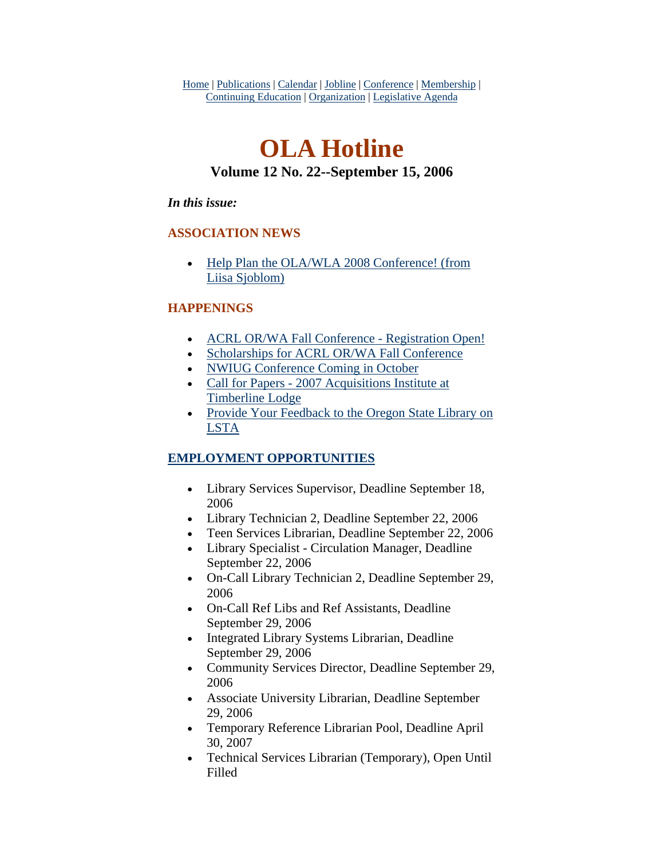Home | Publications | Calendar | Jobline | Conference | Membership | Continuing Education | Organization | Legislative Agenda

# **OLA Hotline Volume 12 No. 22--September 15, 2006**

## *In this issue:*

## **ASSOCIATION NEWS**

• Help Plan the OLA/WLA 2008 Conference! (from [Liisa Sjoblom\)](#page-1-0)

## **HAPPENINGS**

- [ACRL OR/WA Fall Conference Registration Open!](#page-2-0)
- [Scholarships for ACRL OR/WA Fall Conference](#page-3-0)
- [NWIUG Conference Coming in October](#page-4-0)
- Call for Papers 2007 Acquisitions Institute at [Timberline Lodge](#page-5-0)
- Provide Your Feedback to the Oregon State Library on [LSTA](#page-5-0)

# **EMPLOYMENT OPPORTUNITIES**

- Library Services Supervisor, Deadline September 18, 2006
- Library Technician 2, Deadline September 22, 2006
- Teen Services Librarian, Deadline September 22, 2006
- Library Specialist Circulation Manager, Deadline September 22, 2006
- On-Call Library Technician 2, Deadline September 29, 2006
- On-Call Ref Libs and Ref Assistants, Deadline September 29, 2006
- Integrated Library Systems Librarian, Deadline September 29, 2006
- Community Services Director, Deadline September 29, 2006
- Associate University Librarian, Deadline September 29, 2006
- Temporary Reference Librarian Pool, Deadline April 30, 2007
- Technical Services Librarian (Temporary), Open Until Filled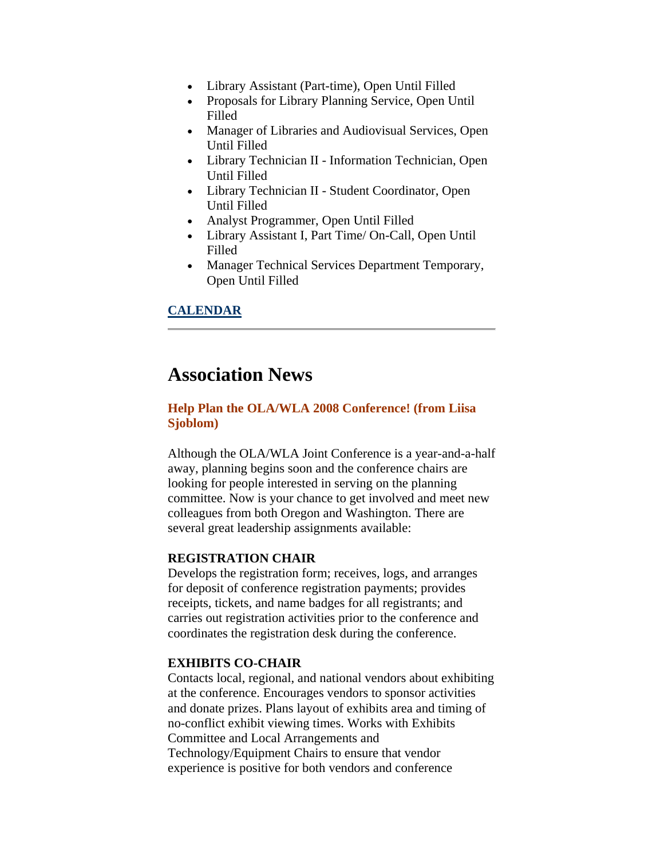- <span id="page-1-0"></span>• Library Assistant (Part-time), Open Until Filled
- Proposals for Library Planning Service, Open Until Filled
- Manager of Libraries and Audiovisual Services, Open Until Filled
- Library Technician II Information Technician, Open Until Filled
- Library Technician II Student Coordinator, Open Until Filled
- Analyst Programmer, Open Until Filled
- Library Assistant I, Part Time/ On-Call, Open Until Filled
- Manager Technical Services Department Temporary, Open Until Filled

# **CALENDAR**

# **Association News**

# **Help Plan the OLA/WLA 2008 Conference! (from Liisa Sjoblom)**

Although the OLA/WLA Joint Conference is a year-and-a-half away, planning begins soon and the conference chairs are looking for people interested in serving on the planning committee. Now is your chance to get involved and meet new colleagues from both Oregon and Washington. There are several great leadership assignments available:

### **REGISTRATION CHAIR**

Develops the registration form; receives, logs, and arranges for deposit of conference registration payments; provides receipts, tickets, and name badges for all registrants; and carries out registration activities prior to the conference and coordinates the registration desk during the conference.

## **EXHIBITS CO-CHAIR**

Contacts local, regional, and national vendors about exhibiting at the conference. Encourages vendors to sponsor activities and donate prizes. Plans layout of exhibits area and timing of no-conflict exhibit viewing times. Works with Exhibits Committee and Local Arrangements and Technology/Equipment Chairs to ensure that vendor experience is positive for both vendors and conference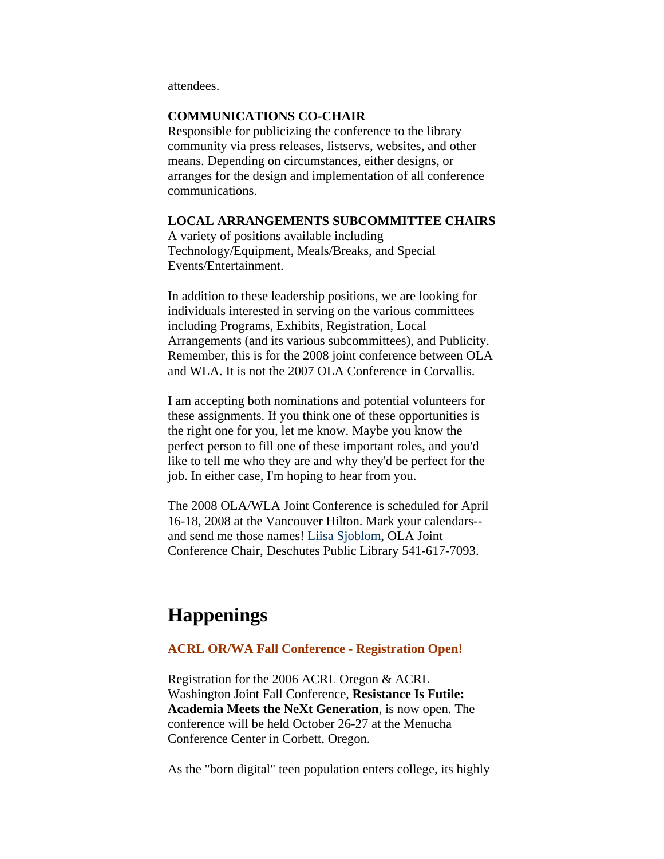<span id="page-2-0"></span>attendees.

### **COMMUNICATIONS CO-CHAIR**

Responsible for publicizing the conference to the library community via press releases, listservs, websites, and other means. Depending on circumstances, either designs, or arranges for the design and implementation of all conference communications.

#### **LOCAL ARRANGEMENTS SUBCOMMITTEE CHAIRS**

A variety of positions available including Technology/Equipment, Meals/Breaks, and Special Events/Entertainment.

In addition to these leadership positions, we are looking for individuals interested in serving on the various committees including Programs, Exhibits, Registration, Local Arrangements (and its various subcommittees), and Publicity. Remember, this is for the 2008 joint conference between OLA and WLA. It is not the 2007 OLA Conference in Corvallis.

I am accepting both nominations and potential volunteers for these assignments. If you think one of these opportunities is the right one for you, let me know. Maybe you know the perfect person to fill one of these important roles, and you'd like to tell me who they are and why they'd be perfect for the job. In either case, I'm hoping to hear from you.

The 2008 OLA/WLA Joint Conference is scheduled for April 16-18, 2008 at the Vancouver Hilton. Mark your calendars-- and send me those names! [Liisa Sjoblom](mailto:liisas@dpls.lib.or.us), OLA Joint Conference Chair, Deschutes Public Library 541-617-7093.

# **Happenings**

#### **ACRL OR/WA Fall Conference - Registration Open!**

Registration for the 2006 ACRL Oregon & ACRL Washington Joint Fall Conference, **Resistance Is Futile: Academia Meets the NeXt Generation**, is now open. The conference will be held October 26-27 at the Menucha Conference Center in Corbett, Oregon.

As the "born digital" teen population enters college, its highly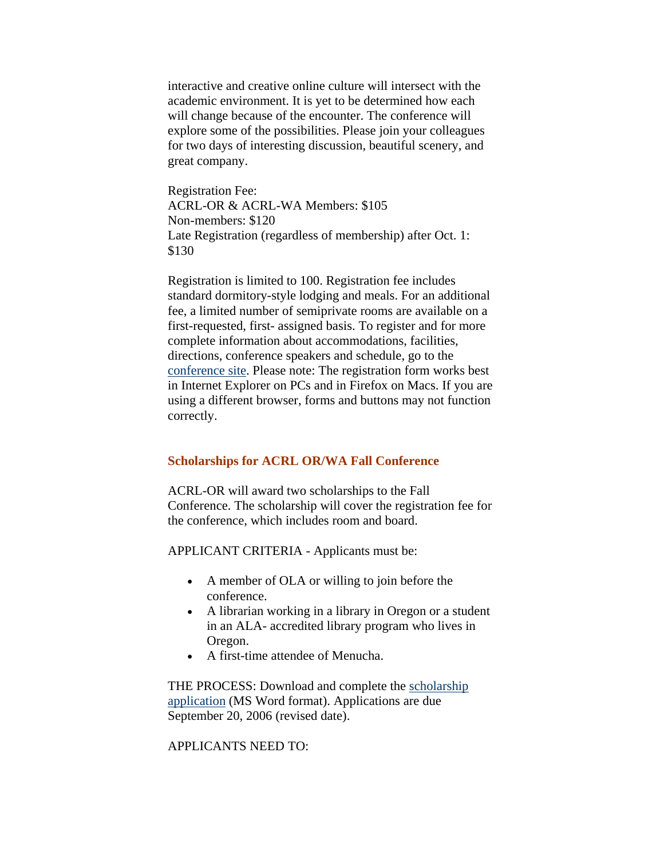<span id="page-3-0"></span>interactive and creative online culture will intersect with the academic environment. It is yet to be determined how each will change because of the encounter. The conference will explore some of the possibilities. Please join your colleagues for two days of interesting discussion, beautiful scenery, and great company.

Registration Fee: ACRL-OR & ACRL-WA Members: \$105 Non-members: \$120 Late Registration (regardless of membership) after Oct. 1: \$130

Registration is limited to 100. Registration fee includes standard dormitory-style lodging and meals. For an additional fee, a limited number of semiprivate rooms are available on a first-requested, first- assigned basis. To register and for more complete information about accommodations, facilities, directions, conference speakers and schedule, go to the [conference site](http://www.olaweb.org/acrl/menucha06.html). Please note: The registration form works best in Internet Explorer on PCs and in Firefox on Macs. If you are using a different browser, forms and buttons may not function correctly.

### **Scholarships for ACRL OR/WA Fall Conference**

ACRL-OR will award two scholarships to the Fall Conference. The scholarship will cover the registration fee for the conference, which includes room and board.

APPLICANT CRITERIA - Applicants must be:

- A member of OLA or willing to join before the conference.
- A librarian working in a library in Oregon or a student in an ALA- accredited library program who lives in Oregon.
- A first-time attendee of Menucha.

THE PROCESS: Download and complete the [scholarship](http://www.olaweb.org/acrl/scholarshipapp.doc)  [application](http://www.olaweb.org/acrl/scholarshipapp.doc) (MS Word format). Applications are due September 20, 2006 (revised date).

APPLICANTS NEED TO: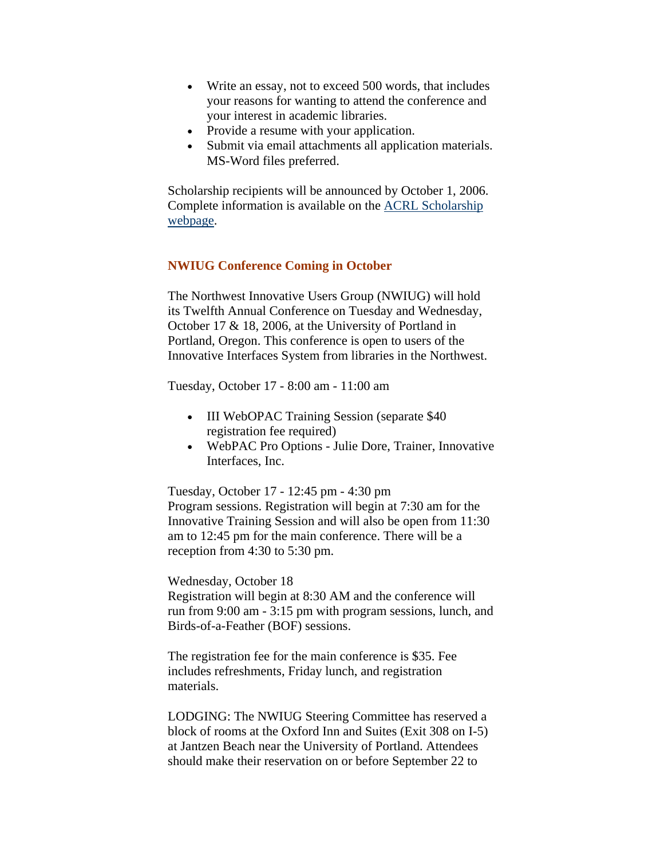- <span id="page-4-0"></span>• Write an essay, not to exceed 500 words, that includes your reasons for wanting to attend the conference and your interest in academic libraries.
- Provide a resume with your application.
- Submit via email attachments all application materials. MS-Word files preferred.

Scholarship recipients will be announced by October 1, 2006. Complete information is available on the [ACRL Scholarship](http://www.olaweb.org/acrl/scholarship.htm)  [webpage](http://www.olaweb.org/acrl/scholarship.htm).

## **NWIUG Conference Coming in October**

The Northwest Innovative Users Group (NWIUG) will hold its Twelfth Annual Conference on Tuesday and Wednesday, October 17 & 18, 2006, at the University of Portland in Portland, Oregon. This conference is open to users of the Innovative Interfaces System from libraries in the Northwest.

Tuesday, October 17 - 8:00 am - 11:00 am

- III WebOPAC Training Session (separate \$40) registration fee required)
- WebPAC Pro Options Julie Dore, Trainer, Innovative Interfaces, Inc.

Tuesday, October 17 - 12:45 pm - 4:30 pm Program sessions. Registration will begin at 7:30 am for the Innovative Training Session and will also be open from 11:30 am to 12:45 pm for the main conference. There will be a reception from 4:30 to 5:30 pm.

#### Wednesday, October 18

Registration will begin at 8:30 AM and the conference will run from 9:00 am - 3:15 pm with program sessions, lunch, and Birds-of-a-Feather (BOF) sessions.

The registration fee for the main conference is \$35. Fee includes refreshments, Friday lunch, and registration materials.

LODGING: The NWIUG Steering Committee has reserved a block of rooms at the Oxford Inn and Suites (Exit 308 on I-5) at Jantzen Beach near the University of Portland. Attendees should make their reservation on or before September 22 to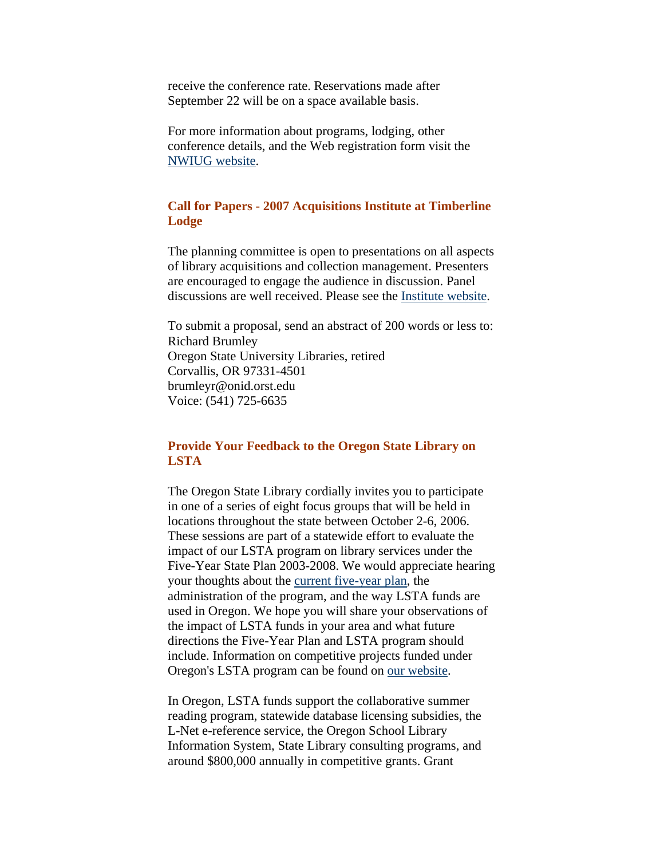<span id="page-5-0"></span>receive the conference rate. Reservations made after September 22 will be on a space available basis.

For more information about programs, lodging, other conference details, and the Web registration form visit the [NWIUG website.](http://www.nwiug.org/)

### **Call for Papers - 2007 Acquisitions Institute at Timberline Lodge**

The planning committee is open to presentations on all aspects of library acquisitions and collection management. Presenters are encouraged to engage the audience in discussion. Panel discussions are well received. Please see the [Institute website.](http://libweb.uoregon.edu/ec/aitl/)

To submit a proposal, send an abstract of 200 words or less to: Richard Brumley Oregon State University Libraries, retired Corvallis, OR 97331-4501 brumleyr@onid.orst.edu Voice: (541) 725-6635

## **Provide Your Feedback to the Oregon State Library on LSTA**

The Oregon State Library cordially invites you to participate in one of a series of eight focus groups that will be held in locations throughout the state between October 2-6, 2006. These sessions are part of a statewide effort to evaluate the impact of our LSTA program on library services under the Five-Year State Plan 2003-2008. We would appreciate hearing your thoughts about the [current five-year plan](http://oregon.gov/OSL/LD/LSTA/5yrStatePlan03-08.pdf), the administration of the program, and the way LSTA funds are used in Oregon. We hope you will share your observations of the impact of LSTA funds in your area and what future directions the Five-Year Plan and LSTA program should include. Information on competitive projects funded under Oregon's LSTA program can be found on [our website.](http://oregon.gov/OSL/LD/grantmainalt.shtml)

In Oregon, LSTA funds support the collaborative summer reading program, statewide database licensing subsidies, the L-Net e-reference service, the Oregon School Library Information System, State Library consulting programs, and around \$800,000 annually in competitive grants. Grant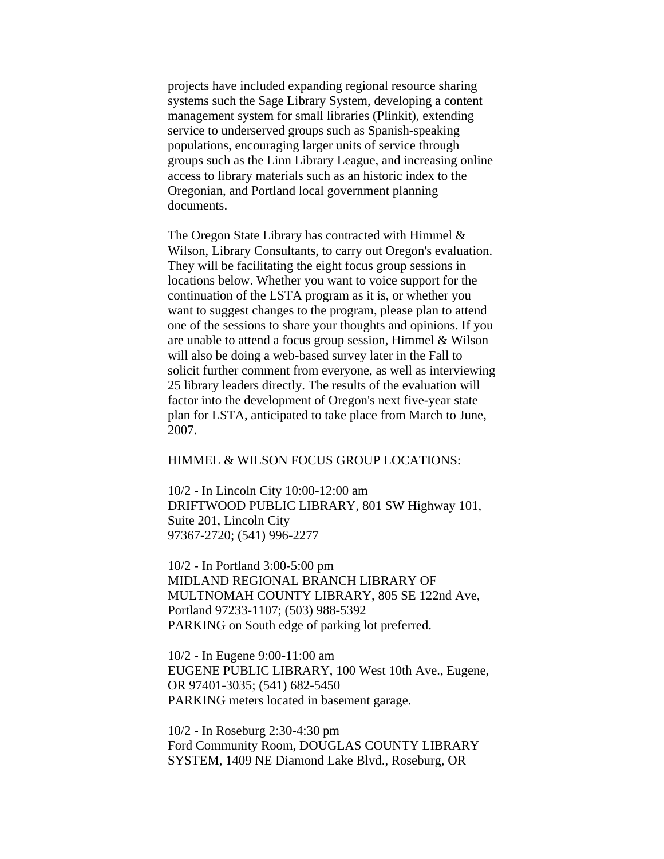projects have included expanding regional resource sharing systems such the Sage Library System, developing a content management system for small libraries (Plinkit), extending service to underserved groups such as Spanish-speaking populations, encouraging larger units of service through groups such as the Linn Library League, and increasing online access to library materials such as an historic index to the Oregonian, and Portland local government planning documents.

The Oregon State Library has contracted with Himmel & Wilson, Library Consultants, to carry out Oregon's evaluation. They will be facilitating the eight focus group sessions in locations below. Whether you want to voice support for the continuation of the LSTA program as it is, or whether you want to suggest changes to the program, please plan to attend one of the sessions to share your thoughts and opinions. If you are unable to attend a focus group session, Himmel & Wilson will also be doing a web-based survey later in the Fall to solicit further comment from everyone, as well as interviewing 25 library leaders directly. The results of the evaluation will factor into the development of Oregon's next five-year state plan for LSTA, anticipated to take place from March to June, 2007.

#### HIMMEL & WILSON FOCUS GROUP LOCATIONS:

10/2 - In Lincoln City 10:00-12:00 am DRIFTWOOD PUBLIC LIBRARY, 801 SW Highway 101, Suite 201, Lincoln City 97367-2720; (541) 996-2277

10/2 - In Portland 3:00-5:00 pm MIDLAND REGIONAL BRANCH LIBRARY OF MULTNOMAH COUNTY LIBRARY, 805 SE 122nd Ave, Portland 97233-1107; (503) 988-5392 PARKING on South edge of parking lot preferred.

10/2 - In Eugene 9:00-11:00 am EUGENE PUBLIC LIBRARY, 100 West 10th Ave., Eugene, OR 97401-3035; (541) 682-5450 PARKING meters located in basement garage.

10/2 - In Roseburg 2:30-4:30 pm Ford Community Room, DOUGLAS COUNTY LIBRARY SYSTEM, 1409 NE Diamond Lake Blvd., Roseburg, OR